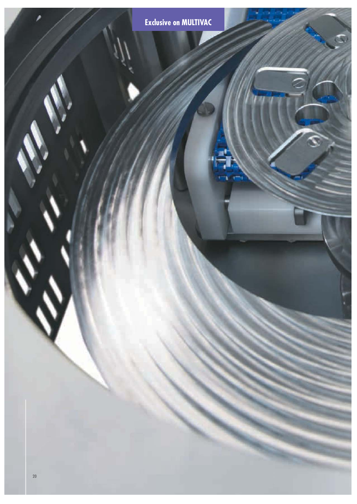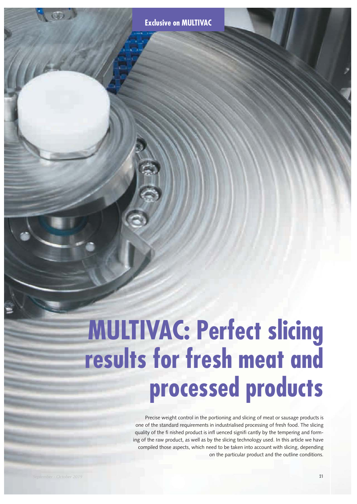# **MULTIVAC: Perfect slicing results for fresh meat and processed products**

Precise weight control in the portioning and slicing of meat or sausage products is one of the standard requirements in industrialised processing of fresh food. The slicing quality of the fi nished product is infl uenced signifi cantly by the tempering and forming of the raw product, as well as by the slicing technology used. In this article we have compiled those aspects, which need to be taken into account with slicing, depending on the particular product and the outline conditions.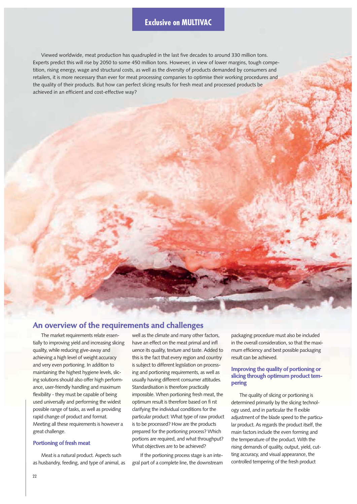### **Exclusive on MULTIVAC**

Viewed worldwide, meat production has quadrupled in the last five decades to around 330 million tons. Experts predict this will rise by 2050 to some 450 million tons. However, in view of lower margins, tough competition, rising energy, wage and structural costs, as well as the diversity of products demanded by consumers and retailers, it is more necessary than ever for meat processing companies to optimise their working procedures and the quality of their products. But how can perfect slicing results for fresh meat and processed products be achieved in an efficient and cost-effective way?

## **An overview of the requirements and challenges**

The market requirements relate essentially to improving yield and increasing slicing quality, while reducing give-away and achieving a high level of weight accuracy and very even portioning. In addition to maintaining the highest hygiene levels, slicing solutions should also offer high performance, user-friendly handling and maximum flexibility - they must be capable of being used universally and performing the widest possible range of tasks, as well as providing rapid change of product and format. Meeting all these requirements is however a great challenge.

#### **Portioning of fresh meat**

Meat is a natural product. Aspects such as husbandry, feeding, and type of animal, as well as the climate and many other factors, have an effect on the meat primal and infl uence its quality, texture and taste. Added to this is the fact that every region and country is subject to different legislation on processing and portioning requirements, as well as usually having different consumer attitudes. Standardisation is therefore practically impossible. When portioning fresh meat, the optimum result is therefore based on fi rst clarifying the individual conditions for the particular product: What type of raw product is to be processed? How are the products prepared for the portioning process? Which portions are required, and what throughput? What objectives are to be achieved?

If the portioning process stage is an integral part of a complete line, the downstream

packaging procedure must also be included in the overall consideration, so that the maximum efficiency and best possible packaging result can be achieved.

#### **Improving the quality of portioning or slicing through optimum product tempering**

The quality of slicing or portioning is determined primarily by the slicing technology used, and in particular the fl exible adjustment of the blade speed to the particular product. As regards the product itself, the main factors include the even forming and the temperature of the product. With the rising demands of quality, output, yield, cutting accuracy, and visual appearance, the controlled tempering of the fresh product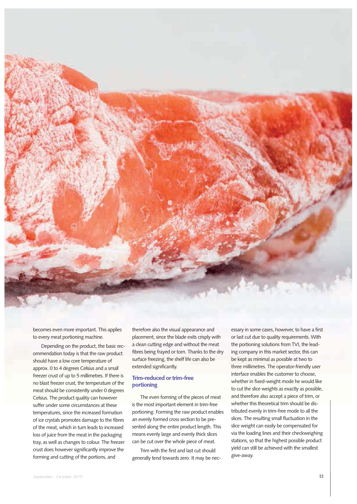

becomes even more important. This applies to every meat portioning machine.

Depending on the product, the basic recommendation today is that the raw product should have a low core temperature of approx. 0 to 4 degrees Celsius and a small freezer crust of up to 5 millimetres. If there is no blast freezer crust, the temperature of the meat should be consistently under 0 degrees Celsius. The product quality can however suffer under some circumstances at these temperatures, since the increased formation of ice crystals promotes damage to the fibres of the meat, which in turn leads to increased loss of juice from the meat in the packaging tray, as well as changes to colour. The freezer crust does however significantly improve the forming and cutting of the portions, and

therefore also the visual appearance and placement, since the blade exits crisply with a clean cutting edge and without the meat fibres being frayed or torn. Thanks to the dry surface freezing, the shelf life can also be extended significantly.

#### **Trim-reduced or trim-free portioning**

The even forming of the pieces of meat is the most important element in trim-free portioning. Forming the raw product enables an evenly formed cross section to be presented along the entire product length. This means evenly large and evenly thick slices can be cut over the whole piece of meat.

Trim with the first and last cut should generally tend towards zero. It may be necessary in some cases, however, to have a first or last cut due to quality requirements. With the portioning solutions from TVI, the leading company in this market sector, this can be kept as minimal as possible at two to three millimetres. The operator-friendly user interface enables the customer to choose, whether in fixed-weight mode he would like to cut the slice weights as exactly as possible, and therefore also accept a piece of trim, or whether this theoretical trim should be distributed evenly in trim-free mode to all the slices. The resulting small fluctuation in the slice weight can easily be compensated for via the loading lines and their checkweighing stations, so that the highest possible product yield can still be achieved with the smallest give-away.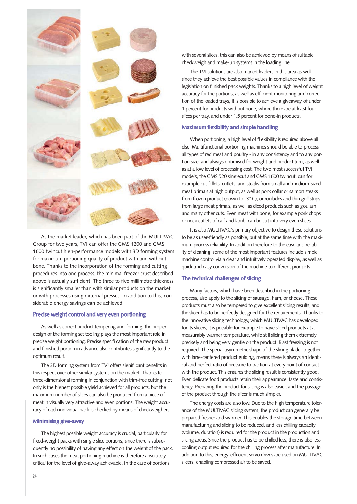

As the market leader, which has been part of the MULTIVAC Group for two years, TVI can offer the GMS 1200 and GMS 1600 twincut high-performance models with 3D forming system for maximum portioning quality of product with and without bone. Thanks to the incorporation of the forming and cutting procedures into one process, the minimal freezer crust described above is actually sufficient. The three to five millimetre thickness is significantly smaller than with similar products on the market or with processes using external presses. In addition to this, considerable energy savings can be achieved.

#### **Precise weight control and very even portioning**

As well as correct product tempering and forming, the proper design of the forming set tooling plays the most important role in precise weight portioning. Precise specifi cation of the raw product and fi nished portion in advance also contributes significantly to the optimum result.

The 3D forming system from TVI offers signifi cant benefits in this respect over other similar systems on the market. Thanks to three-dimensional forming in conjunction with trim-free cutting, not only is the highest possible yield achieved for all products, but the maximum number of slices can also be produced from a piece of meat in visually very attractive and even portions. The weight accuracy of each individual pack is checked by means of checkweighers.

#### **Minimising give-away**

The highest possible weight accuracy is crucial, particularly for fixed-weight packs with single slice portions, since there is subsequently no possibility of having any effect on the weight of the pack. In such cases the meat portioning machine is therefore absolutely critical for the level of give-away achievable. In the case of portions

with several slices, this can also be achieved by means of suitable checkweigh and make-up systems in the loading line.

The TVI solutions are also market leaders in this area as well, since they achieve the best possible values in compliance with the legislation on fi nished pack weights. Thanks to a high level of weight accuracy for the portions, as well as effi cient monitoring and correction of the loaded trays, it is possible to achieve a giveaway of under 1 percent for products without bone, where there are at least four slices per tray, and under 1.5 percent for bone-in products.

#### **Maximum flexibility and simple handling**

When portioning, a high level of fl exibility is required above all else. Multifunctional portioning machines should be able to process all types of red meat and poultry - in any consistency and to any portion size, and always optimised for weight and product trim, as well as at a low level of processing cost. The two most successful TVI models, the GMS 520 singlecut and GMS 1600 twincut, can for example cut fi llets, cutlets, and steaks from small and medium-sized meat primals at high output, as well as pork collar or salmon steaks from frozen product (down to -3° C), or roulades and thin grill strips from large meat primals, as well as diced products such as goulash and many other cuts. Even meat with bone, for example pork chops or neck cutlets of calf and lamb, can be cut into very even slices.

It is also MULTIVAC's primary objective to design these solutions to be as user-friendly as possible, but at the same time with the maximum process reliability. In addition therefore to the ease and reliability of cleaning, some of the most important features include simple machine control via a clear and intuitively operated display, as well as quick and easy conversion of the machine to different products.

#### **The technical challenges of slicing**

Many factors, which have been described in the portioning process, also apply to the slicing of sausage, ham, or cheese. These products must also be tempered to give excellent slicing results, and the slicer has to be perfectly designed for the requirements. Thanks to the innovative slicing technology, which MULTIVAC has developed for its slicers, it is possible for example to have sliced products at a measurably warmer temperature, while still slicing them extremely precisely and being very gentle on the product. Blast freezing is not required. The special asymmetric shape of the slicing blade, together with lane-centered product guiding, means there is always an identical and perfect ratio of pressure to traction at every point of contact with the product. This ensures the slicing result is consistently good. Even delicate food products retain their appearance, taste and consistency. Preparing the product for slicing is also easier, and the passage of the product through the slicer is much simpler.

The energy costs are also low. Due to the high temperature tolerance of the MULTIVAC slicing system, the product can generally be prepared fresher and warmer. This enables the storage time between manufacturing and slicing to be reduced, and less chilling capacity (volume, duration) is required for the product in the production and slicing areas. Since the product has to be chilled less, there is also less cooling output required for the chilling process after manufacture. In addition to this, energy-effi cient servo drives are used on MULTIVAC slicers, enabling compressed air to be saved.